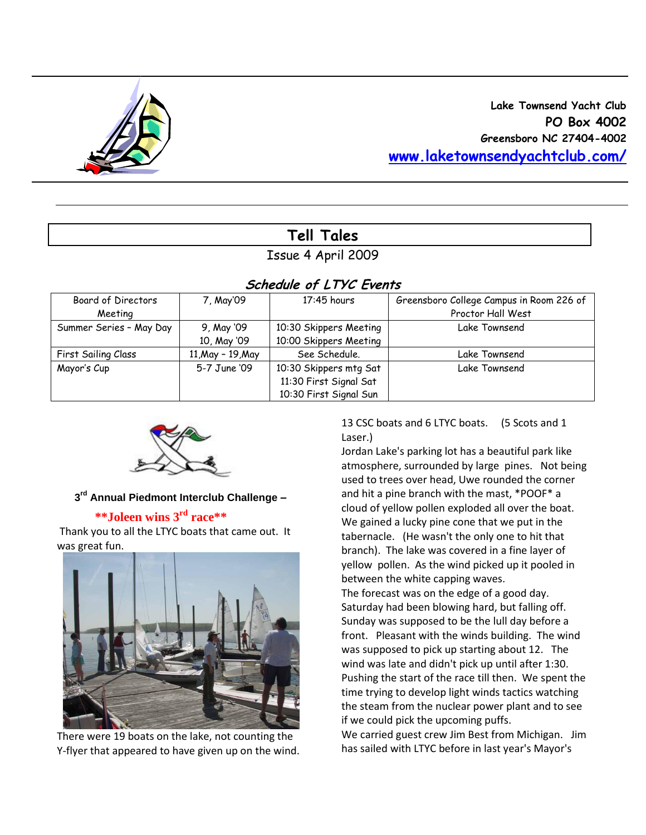

# **Tell Tales**

## Issue 4 April 2009

| SCREQUIE OT LITU EVENTS |                   |                        |                                          |  |  |  |  |
|-------------------------|-------------------|------------------------|------------------------------------------|--|--|--|--|
| Board of Directors      | 7, May'09         | $17:45$ hours          | Greensboro College Campus in Room 226 of |  |  |  |  |
| Meeting                 |                   |                        | Proctor Hall West                        |  |  |  |  |
| Summer Series - May Day | 9, May '09        | 10:30 Skippers Meeting | Lake Townsend                            |  |  |  |  |
|                         | 10, May '09       | 10:00 Skippers Meeting |                                          |  |  |  |  |
| First Sailing Class     | 11, May - 19, May | See Schedule.          | Lake Townsend                            |  |  |  |  |
| Mayor's Cup             | 5-7 June '09      | 10:30 Skippers mtg Sat | Lake Townsend                            |  |  |  |  |
|                         |                   | 11:30 First Signal Sat |                                          |  |  |  |  |
|                         |                   | 10:30 First Signal Sun |                                          |  |  |  |  |

## **Schedule of LTYC Events**



#### **3 rd Annual Piedmont Interclub Challenge –**

#### **\*\*Joleen wins 3rd race\*\***

Thank you to all the LTYC boats that came out. It was great fun.



There were 19 boats on the lake, not counting the Y-flyer that appeared to have given up on the wind. 13 CSC boats and 6 LTYC boats. (5 Scots and 1 Laser.)

Jordan Lake's parking lot has a beautiful park like atmosphere, surrounded by large pines. Not being used to trees over head, Uwe rounded the corner and hit a pine branch with the mast, \*POOF\* a cloud of yellow pollen exploded all over the boat. We gained a lucky pine cone that we put in the tabernacle. (He wasn't the only one to hit that branch). The lake was covered in a fine layer of yellow pollen. As the wind picked up it pooled in between the white capping waves.

The forecast was on the edge of a good day. Saturday had been blowing hard, but falling off. Sunday was supposed to be the lull day before a front. Pleasant with the winds building. The wind was supposed to pick up starting about 12. The wind was late and didn't pick up until after 1:30. Pushing the start of the race till then. We spent the time trying to develop light winds tactics watching the steam from the nuclear power plant and to see if we could pick the upcoming puffs.

We carried guest crew Jim Best from Michigan. Jim has sailed with LTYC before in last year's Mayor's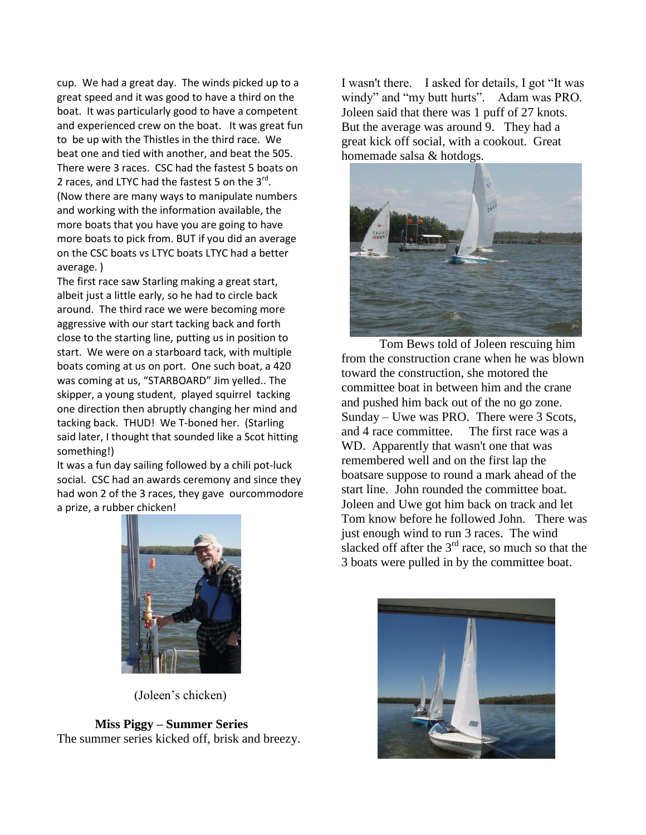cup. We had a great day. The winds picked up to a great speed and it was good to have a third on the boat. It was particularly good to have a competent and experienced crew on the boat. It was great fun to be up with the Thistles in the third race. We beat one and tied with another, and beat the 505. There were 3 races. CSC had the fastest 5 boats on 2 races, and LTYC had the fastest 5 on the 3<sup>rd</sup>. (Now there are many ways to manipulate numbers and working with the information available, the more boats that you have you are going to have more boats to pick from. BUT if you did an average on the CSC boats vs LTYC boats LTYC had a better average. )

The first race saw Starling making a great start, albeit just a little early, so he had to circle back around. The third race we were becoming more aggressive with our start tacking back and forth close to the starting line, putting us in position to start. We were on a starboard tack, with multiple boats coming at us on port. One such boat, a 420 was coming at us, "STARBOARD" Jim yelled.. The skipper, a young student, played squirrel tacking one direction then abruptly changing her mind and tacking back. THUD! We T-boned her. (Starling said later, I thought that sounded like a Scot hitting something!)

It was a fun day sailing followed by a chili pot-luck social. CSC had an awards ceremony and since they had won 2 of the 3 races, they gave ourcommodore a prize, a rubber chicken!

I wasn't there. I asked for details, I got "It was windy" and "my butt hurts". Adam was PRO. Joleen said that there was 1 puff of 27 knots. But the average was around 9. They had a great kick off social, with a cookout. Great homemade salsa & hotdogs.



Tom Bews told of Joleen rescuing him from the construction crane when he was blown toward the construction, she motored the committee boat in between him and the crane and pushed him back out of the no go zone. Sunday – Uwe was PRO. There were 3 Scots, and 4 race committee. The first race was a WD. Apparently that wasn't one that was remembered well and on the first lap the boatsare suppose to round a mark ahead of the start line. John rounded the committee boat. Joleen and Uwe got him back on track and let Tom know before he followed John. There was just enough wind to run 3 races. The wind slacked off after the  $3<sup>rd</sup>$  race, so much so that the 3 boats were pulled in by the committee boat.



(Joleen's chicken)

## **Miss Piggy – Summer Series**

The summer series kicked off, brisk and breezy.

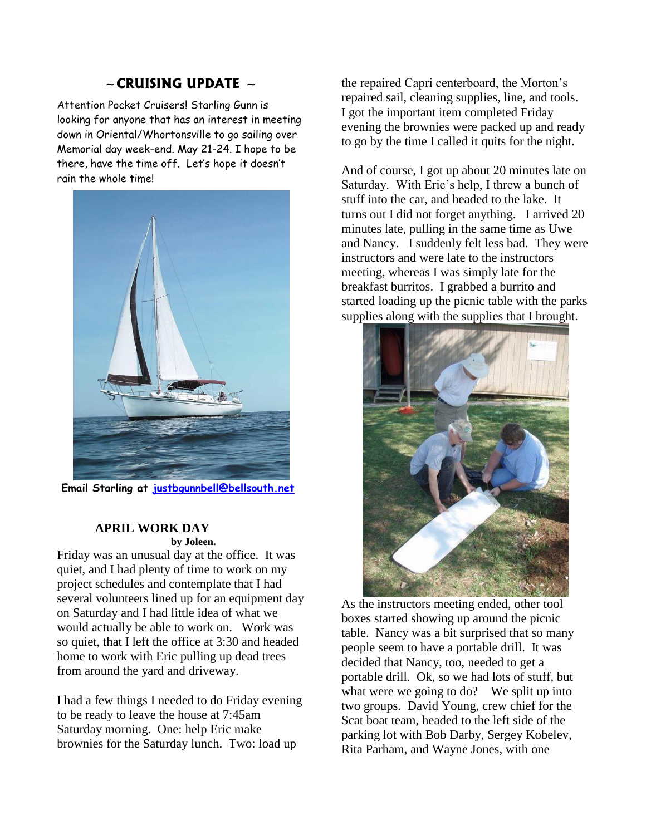## **~CRUISING UPDATE ~**

Attention Pocket Cruisers! Starling Gunn is looking for anyone that has an interest in meeting down in Oriental/Whortonsville to go sailing over Memorial day week-end. May 21-24. I hope to be there, have the time off. Let's hope it doesn't rain the whole time!



**Email Starling at [justbgunnbell@bellsouth.net](mailto:justbgunnbell@bellsouth.net)**

#### **APRIL WORK DAY by Joleen.**

Friday was an unusual day at the office. It was quiet, and I had plenty of time to work on my project schedules and contemplate that I had several volunteers lined up for an equipment day on Saturday and I had little idea of what we would actually be able to work on. Work was so quiet, that I left the office at 3:30 and headed home to work with Eric pulling up dead trees from around the yard and driveway.

I had a few things I needed to do Friday evening to be ready to leave the house at 7:45am Saturday morning. One: help Eric make brownies for the Saturday lunch. Two: load up

the repaired Capri centerboard, the Morton's repaired sail, cleaning supplies, line, and tools. I got the important item completed Friday evening the brownies were packed up and ready to go by the time I called it quits for the night.

And of course, I got up about 20 minutes late on Saturday. With Eric's help, I threw a bunch of stuff into the car, and headed to the lake. It turns out I did not forget anything. I arrived 20 minutes late, pulling in the same time as Uwe and Nancy. I suddenly felt less bad. They were instructors and were late to the instructors meeting, whereas I was simply late for the breakfast burritos. I grabbed a burrito and started loading up the picnic table with the parks supplies along with the supplies that I brought.



As the instructors meeting ended, other tool boxes started showing up around the picnic table. Nancy was a bit surprised that so many people seem to have a portable drill. It was decided that Nancy, too, needed to get a portable drill. Ok, so we had lots of stuff, but what were we going to do? We split up into two groups. David Young, crew chief for the Scat boat team, headed to the left side of the parking lot with Bob Darby, Sergey Kobelev, Rita Parham, and Wayne Jones, with one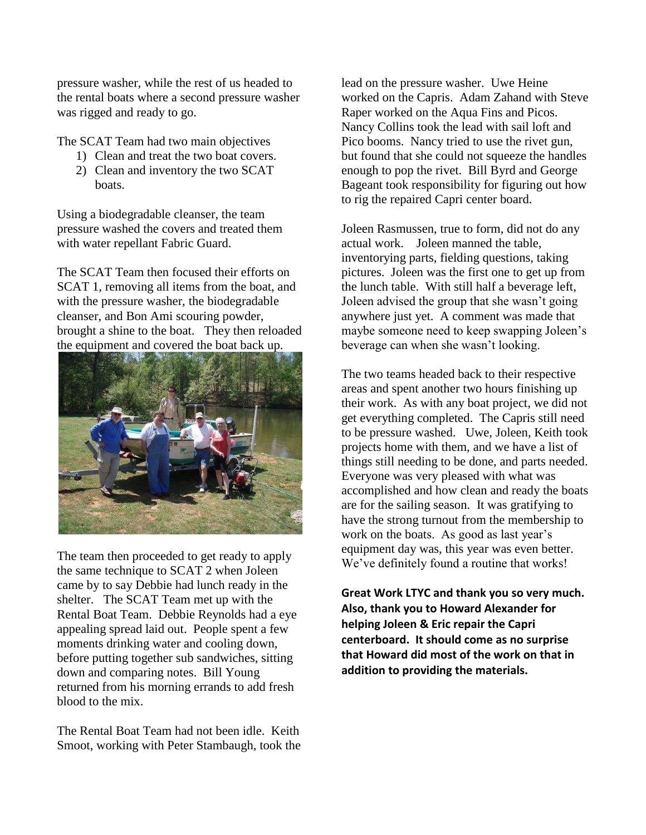pressure washer, while the rest of us headed to the rental boats where a second pressure washer was rigged and ready to go.

The SCAT Team had two main objectives

- 1) Clean and treat the two boat covers.
- 2) Clean and inventory the two SCAT boats.

Using a biodegradable cleanser, the team pressure washed the covers and treated them with water repellant Fabric Guard.

The SCAT Team then focused their efforts on SCAT 1, removing all items from the boat, and with the pressure washer, the biodegradable cleanser, and Bon Ami scouring powder, brought a shine to the boat. They then reloaded the equipment and covered the boat back up.



The team then proceeded to get ready to apply the same technique to SCAT 2 when Joleen came by to say Debbie had lunch ready in the shelter. The SCAT Team met up with the Rental Boat Team. Debbie Reynolds had a eye appealing spread laid out. People spent a few moments drinking water and cooling down, before putting together sub sandwiches, sitting down and comparing notes. Bill Young returned from his morning errands to add fresh blood to the mix.

The Rental Boat Team had not been idle. Keith Smoot, working with Peter Stambaugh, took the

lead on the pressure washer. Uwe Heine worked on the Capris. Adam Zahand with Steve Raper worked on the Aqua Fins and Picos. Nancy Collins took the lead with sail loft and Pico booms. Nancy tried to use the rivet gun, but found that she could not squeeze the handles enough to pop the rivet. Bill Byrd and George Bageant took responsibility for figuring out how to rig the repaired Capri center board.

Joleen Rasmussen, true to form, did not do any actual work. Joleen manned the table, inventorying parts, fielding questions, taking pictures. Joleen was the first one to get up from the lunch table. With still half a beverage left, Joleen advised the group that she wasn't going anywhere just yet. A comment was made that maybe someone need to keep swapping Joleen's beverage can when she wasn't looking.

The two teams headed back to their respective areas and spent another two hours finishing up their work. As with any boat project, we did not get everything completed. The Capris still need to be pressure washed. Uwe, Joleen, Keith took projects home with them, and we have a list of things still needing to be done, and parts needed. Everyone was very pleased with what was accomplished and how clean and ready the boats are for the sailing season. It was gratifying to have the strong turnout from the membership to work on the boats. As good as last year's equipment day was, this year was even better. We've definitely found a routine that works!

**Great Work LTYC and thank you so very much. Also, thank you to Howard Alexander for helping Joleen & Eric repair the Capri centerboard. It should come as no surprise that Howard did most of the work on that in addition to providing the materials.**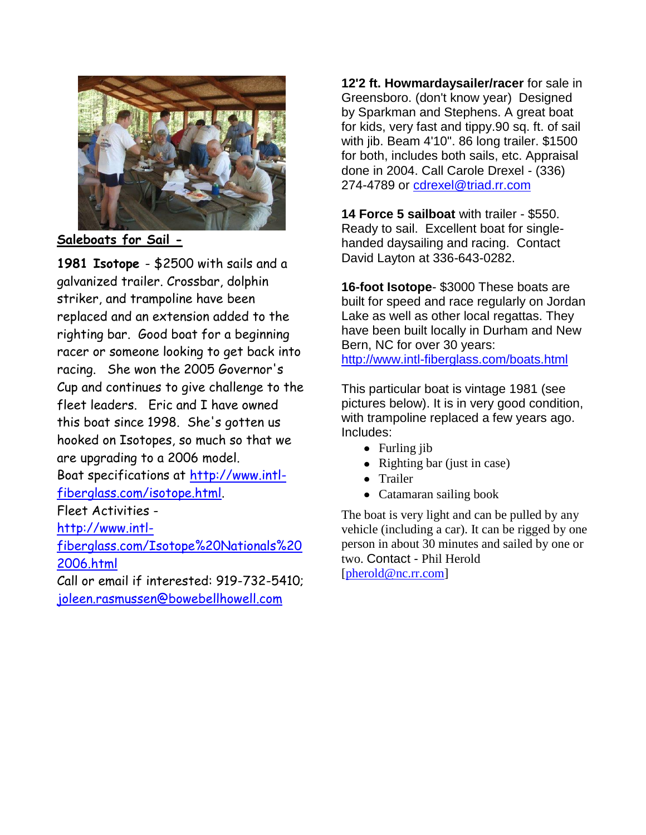

**Saleboats for Sail -**

**1981 Isotope** - \$2500 with sails and a galvanized trailer. Crossbar, dolphin striker, and trampoline have been replaced and an extension added to the righting bar. Good boat for a beginning racer or someone looking to get back into racing. She won the 2005 Governor's Cup and continues to give challenge to the fleet leaders. Eric and I have owned this boat since 1998. She's gotten us hooked on Isotopes, so much so that we are upgrading to a 2006 model. Boat specifications at [http://www.intl](http://www.intl-fiberglass.com/isotope.html)[fiberglass.com/isotope.html.](http://www.intl-fiberglass.com/isotope.html) Fleet Activities [http://www.intl](http://www.intl-fiberglass.com/Isotope%20Nationals%202006.html)[fiberglass.com/Isotope%20Nationals%20](http://www.intl-fiberglass.com/Isotope%20Nationals%202006.html)

[2006.html](http://www.intl-fiberglass.com/Isotope%20Nationals%202006.html) Call or email if interested: 919-732-5410;

[joleen.rasmussen@bowebellhowell.com](mailto:joleen.rasmussen@bowebellhowell.com)

**12'2 ft. Howmardaysailer/racer** for sale in Greensboro. (don't know year) Designed by Sparkman and Stephens. A great boat for kids, very fast and tippy.90 sq. ft. of sail with jib. Beam 4'10". 86 long trailer. \$1500 for both, includes both sails, etc. Appraisal done in 2004. Call Carole Drexel - (336) 274-4789 or [cdrexel@triad.rr.com](mailto:cdrexel@triad.rr.com)

**14 Force 5 sailboat** with trailer - \$550. Ready to sail. Excellent boat for singlehanded daysailing and racing. Contact David Layton at 336-643-0282.

**16-foot Isotope**- \$3000 These boats are built for speed and race regularly on Jordan Lake as well as other local regattas. They have been built locally in Durham and New Bern, NC for over 30 years: <http://www.intl-fiberglass.com/boats.html>

This particular boat is vintage 1981 (see pictures below). It is in very good condition, with trampoline replaced a few years ago. Includes:

- Furling jib
- Righting bar (just in case)
- Trailer
- Catamaran sailing book

The boat is very light and can be pulled by any vehicle (including a car). It can be rigged by one person in about 30 minutes and sailed by one or two. Contact - Phil Herold [\[pherold@nc.rr.com\]](http://webmail.att.net/wmc/v/wm/47E997450008F710000072F722230682229B0A02D2089B9A019C04040A0DBF9A0A02070A08?cmd=ComposeTo&adr=pherold@nc.rr.com&sid=c0)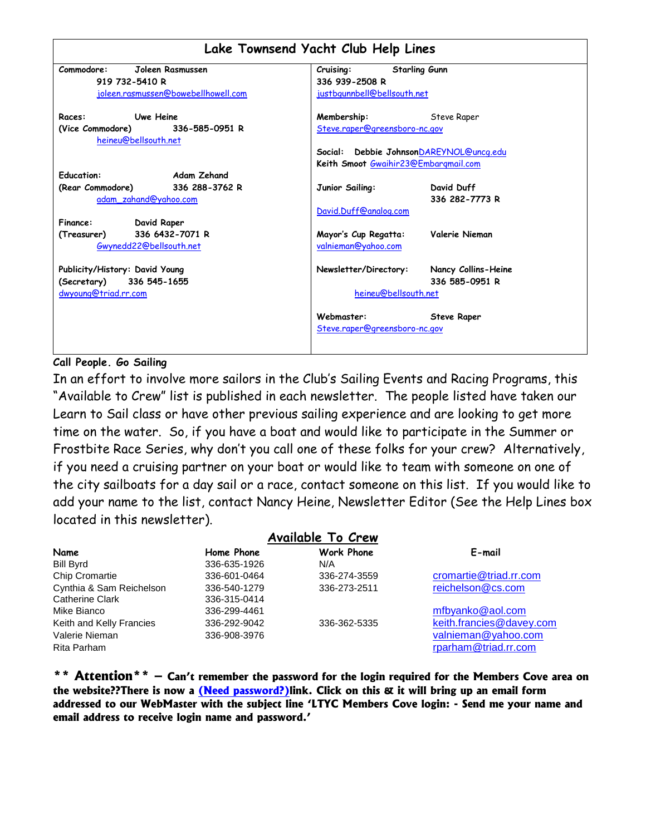| Lake Townsend Yacht Club Help Lines                        |                                                                                 |                                       |  |  |  |  |
|------------------------------------------------------------|---------------------------------------------------------------------------------|---------------------------------------|--|--|--|--|
| Commodore:<br>Joleen Rasmussen                             | <b>Starling Gunn</b><br>Cruising:                                               |                                       |  |  |  |  |
| 919 732-5410 R                                             | 336 939-2508 R                                                                  |                                       |  |  |  |  |
| joleen.rasmussen@bowebellhowell.com                        | justbgunnbell@bellsouth.net                                                     |                                       |  |  |  |  |
| Uwe Heine<br>Races:                                        | Membership:                                                                     | Steve Raper                           |  |  |  |  |
| (Vice Commodore) 336-585-0951 R<br>heineu@bellsouth.net    | Steve.raper@greensboro-nc.gov                                                   |                                       |  |  |  |  |
|                                                            | Social: Debbie JohnsonDAREYNOL@uncq.edu<br>Keith Smoot Gwaihir23@Embargmail.com |                                       |  |  |  |  |
| <b>Education:</b><br>Adam Zehand                           |                                                                                 |                                       |  |  |  |  |
| (Rear Commodore) 336 288-3762 R<br>adam zahand@yahoo.com   | Junior Sailing:                                                                 | David Duff<br>336 282-7773 R          |  |  |  |  |
|                                                            | David.Duff@analog.com                                                           |                                       |  |  |  |  |
| David Raper<br>Finance:                                    |                                                                                 |                                       |  |  |  |  |
| 336 6432-7071 R<br>(Treasurer)<br>Gwynedd22@bellsouth.net  | Mayor's Cup Regatta:<br>valnieman@yahoo.com                                     | Valerie Nieman                        |  |  |  |  |
| Publicity/History: David Young<br>(Secretary) 336 545-1655 | Newsletter/Directory:                                                           | Nancy Collins-Heine<br>336 585-0951 R |  |  |  |  |
| dwyoung@triad.rr.com                                       | heineu@bellsouth.net                                                            |                                       |  |  |  |  |
|                                                            | Webmaster:<br>Steve.raper@greensboro-nc.gov                                     | <b>Steve Raper</b>                    |  |  |  |  |

## **Call People. Go Sailing**

In an effort to involve more sailors in the Club"s Sailing Events and Racing Programs, this "Available to Crew" list is published in each newsletter. The people listed have taken our Learn to Sail class or have other previous sailing experience and are looking to get more time on the water. So, if you have a boat and would like to participate in the Summer or Frostbite Race Series, why don"t you call one of these folks for your crew? Alternatively, if you need a cruising partner on your boat or would like to team with someone on one of the city sailboats for a day sail or a race, contact someone on this list. If you would like to add your name to the list, contact Nancy Heine, Newsletter Editor (See the Help Lines box located in this newsletter).

| <b>Available To Crew</b> |              |                   |                          |  |  |  |  |
|--------------------------|--------------|-------------------|--------------------------|--|--|--|--|
| Name                     | Home Phone   | <b>Work Phone</b> | E-mail                   |  |  |  |  |
| <b>Bill Byrd</b>         | 336-635-1926 | N/A               |                          |  |  |  |  |
| <b>Chip Cromartie</b>    | 336-601-0464 | 336-274-3559      | cromartie@triad.rr.com   |  |  |  |  |
| Cynthia & Sam Reichelson | 336-540-1279 | 336-273-2511      | reichelson@cs.com        |  |  |  |  |
| <b>Catherine Clark</b>   | 336-315-0414 |                   |                          |  |  |  |  |
| Mike Bianco              | 336-299-4461 |                   | mfbyanko@aol.com         |  |  |  |  |
| Keith and Kelly Francies | 336-292-9042 | 336-362-5335      | keith.francies@davey.com |  |  |  |  |
| Valerie Nieman           | 336-908-3976 |                   | valnieman@yahoo.com      |  |  |  |  |
| Rita Parham              |              |                   | rparham@triad.rr.com     |  |  |  |  |

**\*\* Attention\*\* – Can't remember the password for the login required for the Members Cove area on the website??There is now a (Need password?)link. Click on this & it will bring up an email form addressed to our WebMaster with the subject line 'LTYC Members Cove login: - Send me your name and email address to receive login name and password.'**